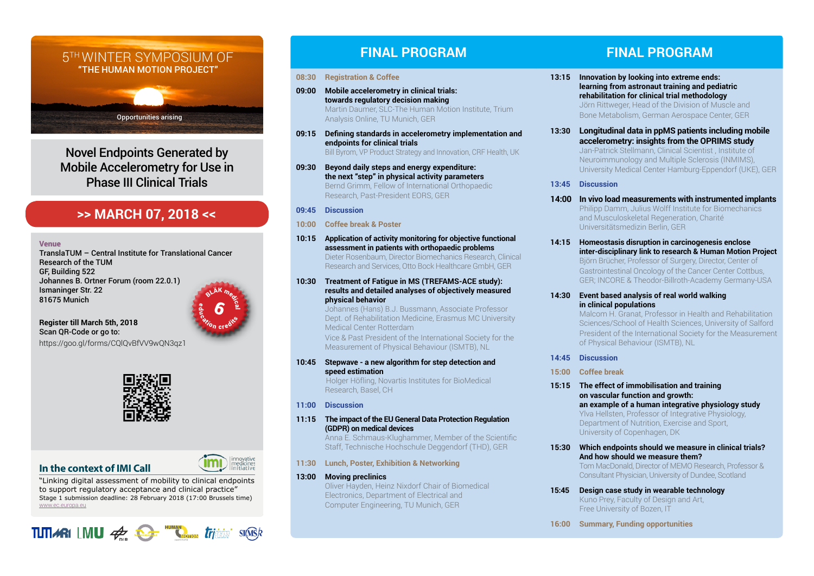# 5TH WINTER SYMPOSIUM OF "THE HUMAN MOTION PROJECT"

Opportunities arising

Novel Endpoints Generated by Mobile Accelerometry for Use in Phase III Clinical Trials

# **>> MARCH 07, 2018 <<**

#### Venue

TranslaTUM – Central Institute for Translational Cancer Research of the TUM GF, Building 522 Johannes B. Ortner Forum (room 22.0.1) Ismaninger Str. 22 81675 Munich



**Register till March 5th, 2018** Scan QR-Code or go to: <https://goo.gl/forms/CQlQvBfVV9wQN3qz1>



## **In the context of IMI Call**

"Linking digital assessment of mobility to clinical endpoints to support regulatory acceptance and clinical practice" Stage 1 submission deadline: 28 February 2018 (17:00 Brussels time) [www.ec.europa.eu](https://ec.europa.eu/research/participants/portal/desktop/en/opportunities/h2020/topics/imi2-2017-13-07.html)

# **TUTI ARI** LMU  $\mathcal{A}_{\text{max}}$  **C** *triving* single

# **FINAL PROGRAM FINAL PROGRAM**

### **08:30 Registration & Coffee**

- **09:00 Mobile accelerometry in clinical trials: towards regulatory decision making** Martin Daumer, SLC-The Human Motion Institute, Trium Analysis Online, TU Munich, GER
- **09:15 Defining standards in accelerometry implementation and endpoints for clinical trials** Bill Byrom, VP Product Strategy and Innovation, CRF Health, UK
- **09:30 Beyond daily steps and energy expenditure: the next "step" in physical activity parameters** Bernd Grimm, Fellow of International Orthopaedic Research, Past-President EORS, GER

## **09:45 Discussion**

- **10:00 Coffee break & Poster**
- **10:15 Application of activity monitoring for objective functional assessment in patients with orthopaedic problems** Dieter Rosenbaum, Director Biomechanics Research, Clinical Research and Services, Otto Bock Healthcare GmbH, GER

### **10:30 Treatment of Fatigue in MS (TREFAMS-ACE study): results and detailed analyses of objectively measured physical behavior**

Johannes (Hans) B.J. Bussmann, Associate Professor Dept. of Rehabilitation Medicine, Erasmus MC University Medical Center Rotterdam Vice & Past President of the International Society for the

Measurement of Physical Behaviour (ISMTB), NL

**10:45 Stepwave - a new algorithm for step detection and speed estimation**

Holger Höfling, Novartis Institutes for BioMedical Research, Basel, CH

## **11:00 Discussion**

**11:15 The impact of the EU General Data Protection Regulation (GDPR) on medical devices**

Anna E. Schmaus-Klughammer, Member of the Scientific Staff, Technische Hochschule Deggendorf (THD), GER

**11:30 Lunch, Poster, Exhibition & Networking**

## **13:00 Moving preclinics**

Oliver Hayden, Heinz Nixdorf Chair of Biomedical Electronics, Department of Electrical and Computer Engineering, TU Munich, GER

- **13:15 Innovation by looking into extreme ends: learning from astronaut training and pediatric rehabilitation for clinical trial methodology** Jörn Rittweger, Head of the Division of Muscle and Bone Metabolism, German Aerospace Center, GER
- **13:30 Longitudinal data in ppMS patients including mobile accelerometry: insights from the OPRIMS study** Jan-Patrick Stellmann, Clinical Scientist , Institute of Neuroimmunology and Multiple Sclerosis (INMIMS), University Medical Center Hamburg-Eppendorf (UKE), GER

## **13:45 Discussion**

- **14:00 In vivo load measurements with instrumented implants** Philipp Damm, Julius Wolff Institute for Biomechanics and Musculoskeletal Regeneration, Charité Universitätsmedizin Berlin, GER
- **14:15 Homeostasis disruption in carcinogenesis enclose inter-disciplinary link to research & Human Motion Project** Björn Brücher, Professor of Surgery, Director, Center of Gastrointestinal Oncology of the Cancer Center Cottbus, GER; INCORE & Theodor-Billroth-Academy Germany-USA

## **14:30 Event based analysis of real world walking in clinical populations**

Malcom H. Granat, Professor in Health and Rehabilitation Sciences/School of Health Sciences, University of Salford President of the International Society for the Measurement of Physical Behaviour (ISMTB), NL

- **14:45 Discussion**
- **15:00 Coffee break**
- **15:15 The effect of immobilisation and training on vascular function and growth: an example of a human integrative physiology study** Ylva Hellsten, Professor of Integrative Physiology, Department of Nutrition, Exercise and Sport, University of Copenhagen, DK
- **15:30 Which endpoints should we measure in clinical trials? And how should we measure them?** Tom MacDonald, Director of MEMO Research, Professor & Consultant Physician, University of Dundee, Scotland
- **15:45 Design case study in wearable technology** Kuno Prey, Faculty of Design and Art, Free University of Bozen, IT
- **16:00 Summary, Funding opportunities**